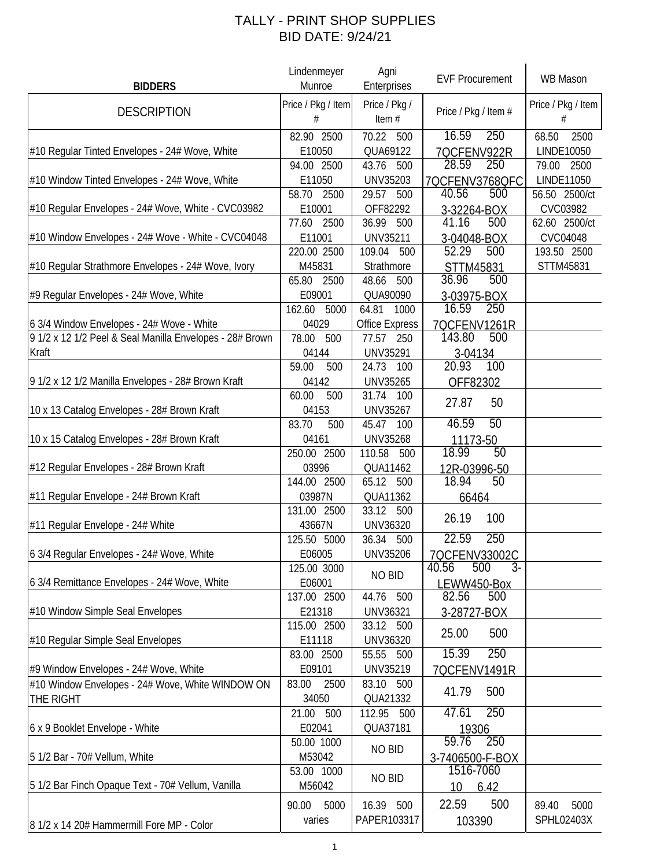| <b>BIDDERS</b>                                                    | Lindenmeyer<br>Munroe                 | Agni<br>Enterprises                             | <b>EVF Procurement</b>                         | WB Mason                                     |
|-------------------------------------------------------------------|---------------------------------------|-------------------------------------------------|------------------------------------------------|----------------------------------------------|
| <b>DESCRIPTION</b>                                                | Price / Pkg / Item<br>#               | Price / Pkg /<br>Item $#$                       | Price / Pkg / Item #                           | Price / Pkg / Item<br>#                      |
| #10 Regular Tinted Envelopes - 24# Wove, White                    | 82.90 2500<br>E10050                  | 70.22 500<br>QUA69122                           | 250<br>16.59<br>7QCFENV922R                    | 68.50<br>2500<br>LINDE10050                  |
| #10 Window Tinted Envelopes - 24# Wove, White                     | 94.00 2500<br>E11050<br>58.70<br>2500 | 43.76<br>500<br><b>UNV35203</b><br>29.57<br>500 | 28.59<br>250<br>7QCFENV3768QFC<br>40.56<br>500 | 79.00<br>2500<br>LINDE11050<br>56.50 2500/ct |
| #10 Regular Envelopes - 24# Wove, White - CVC03982                | E10001<br>77.60<br>2500               | OFF82292<br>36.99 500                           | 3-32264-BOX<br>41.16<br>500                    | CVC03982<br>62.60 2500/ct                    |
| #10 Window Envelopes - 24# Wove - White - CVC04048                | E11001<br>220.00 2500                 | <b>UNV35211</b><br>109.04<br>500                | 3-04048-BOX<br>$\overline{5}$ 2.29<br>500      | CVC04048<br>193.50 2500                      |
| #10 Regular Strathmore Envelopes - 24# Wove, Ivory                | M45831<br>65.80<br>2500               | Strathmore<br>48.66<br>500                      | STTM45831<br>36.96<br>500                      | STTM45831                                    |
| #9 Regular Envelopes - 24# Wove, White                            | E09001<br>162.60<br>5000              | QUA90090<br>64.81<br>1000                       | 3-03975-BOX<br>16.59<br>250                    |                                              |
| 6 3/4 Window Envelopes - 24# Wove - White                         | 04029                                 | <b>Office Express</b>                           | 7QCFENV1261R                                   |                                              |
| 9 1/2 x 12 1/2 Peel & Seal Manilla Envelopes - 28# Brown<br>Kraft | 78.00<br>500<br>04144                 | 77.57 250<br>UNV35291                           | 143.80<br>500<br>3-04134                       |                                              |
| 9 1/2 x 12 1/2 Manilla Envelopes - 28# Brown Kraft                | 59.00<br>500<br>04142                 | 24.73 100<br><b>UNV35265</b>                    | 20.93<br>100<br>OFF82302                       |                                              |
| 10 x 13 Catalog Envelopes - 28# Brown Kraft                       | 60.00<br>500<br>04153                 | 31.74 100<br><b>UNV35267</b>                    | 27.87<br>50                                    |                                              |
| 10 x 15 Catalog Envelopes - 28# Brown Kraft                       | 83.70<br>500<br>04161<br>250.00 2500  | 45.47 100<br><b>UNV35268</b><br>110.58<br>500   | 46.59<br>50<br>11173-50<br>18.99<br>50         |                                              |
| #12 Regular Envelopes - 28# Brown Kraft                           | 03996<br>144.00 2500                  | QUA11462<br>65.12<br>500                        | 12R-03996-50<br>50<br>18.94                    |                                              |
| #11 Regular Envelope - 24# Brown Kraft                            | 03987N<br>131.00 2500                 | QUA11362<br>33.12 500                           | 66464                                          |                                              |
| #11 Regular Envelope - 24# White                                  | 43667N<br>125.50 5000                 | UNV36320<br>36.34 500                           | 26.19<br>100<br>250<br>22.59                   |                                              |
| 6 3/4 Regular Envelopes - 24# Wove, White                         | E06005                                | <b>UNV35206</b>                                 | 7QCFENV33002C                                  |                                              |
| 6 3/4 Remittance Envelopes - 24# Wove, White                      | 125.00 3000<br>E06001                 | NO BID                                          | 40.56<br>500<br>$3-$<br>LEWW450-Box            |                                              |
| #10 Window Simple Seal Envelopes                                  | 137.00 2500<br>E21318                 | 44.76 500<br>UNV36321                           | 82.56<br>500<br>3-28727-BOX                    |                                              |
| #10 Regular Simple Seal Envelopes                                 | 115.00 2500<br>E11118                 | 33.12 500<br>UNV36320                           | 25.00<br>500                                   |                                              |
| #9 Window Envelopes - 24# Wove, White                             | 83.00 2500<br>E09101                  | 55.55 500<br>UNV35219                           | 15.39<br>250<br>7QCFENV1491R                   |                                              |
| #10 Window Envelopes - 24# Wove, White WINDOW ON<br>THE RIGHT     | 83.00<br>2500<br>34050                | 83.10 500<br>QUA21332                           | 41.79<br>500                                   |                                              |
| 6 x 9 Booklet Envelope - White                                    | 21.00 500<br>E02041                   | 112.95 500<br>QUA37181                          | 250<br>47.61<br>19306                          |                                              |
| 5 1/2 Bar - 70# Vellum, White                                     | 50.00 1000<br>M53042                  | NO BID                                          | 59.76<br>250<br>3-7406500-F-BOX                |                                              |
| 5 1/2 Bar Finch Opaque Text - 70# Vellum, Vanilla                 | 53.00 1000<br>M56042                  | NO BID                                          | 1516-7060<br>10 <sup>°</sup><br>6.42           |                                              |
| 8 1/2 x 14 20# Hammermill Fore MP - Color                         | 90.00<br>5000<br>varies               | 16.39 500<br>PAPER103317                        | 22.59<br>500<br>103390                         | 89.40<br>5000<br>SPHL02403X                  |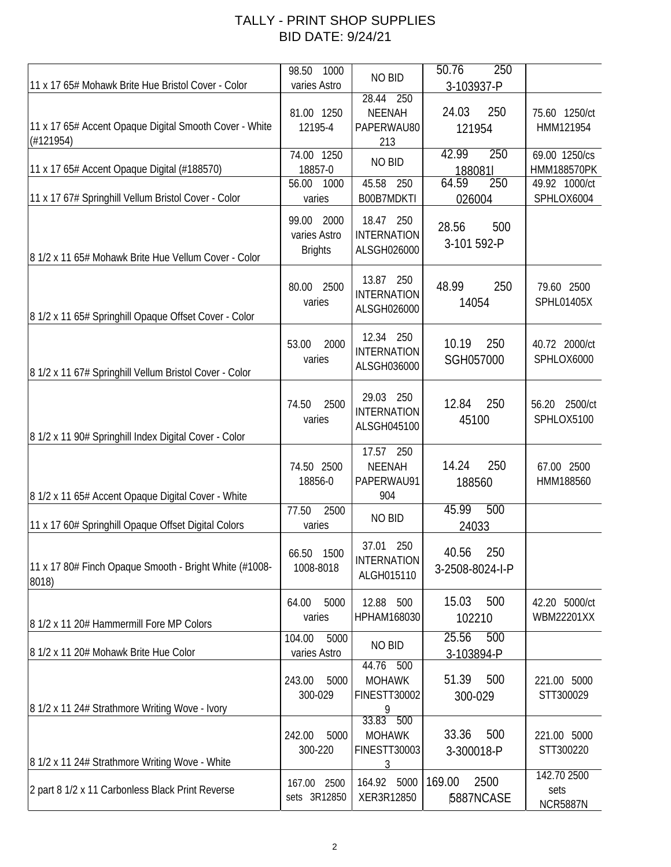| 11 x 17 65# Mohawk Brite Hue Bristol Cover - Color                  | 1000<br>98.50<br>varies Astro                | NO BID<br>28.44<br>250                           | 50.76<br>250<br>3-103937-P              |                                               |
|---------------------------------------------------------------------|----------------------------------------------|--------------------------------------------------|-----------------------------------------|-----------------------------------------------|
| 11 x 17 65# Accent Opaque Digital Smooth Cover - White<br>(#121954) | 81.00 1250<br>12195-4                        | <b>NEENAH</b><br>PAPERWAU80<br>213               | 250<br>24.03<br>121954                  | 75.60 1250/ct<br>HMM121954                    |
| 11 x 17 65# Accent Opaque Digital (#188570)                         | 74.00 1250<br>18857-0<br>56.00<br>1000       | NO BID<br>45.58<br>250                           | 250<br>42.99<br>188081l<br>64.59<br>250 | 69.00 1250/cs<br>HMM188570PK<br>49.92 1000/ct |
| 11 x 17 67# Springhill Vellum Bristol Cover - Color                 | varies                                       | B00B7MDKTI                                       | 026004                                  | SPHLOX6004                                    |
| 8 1/2 x 11 65# Mohawk Brite Hue Vellum Cover - Color                | 99.00 2000<br>varies Astro<br><b>Brights</b> | 18.47 250<br><b>INTERNATION</b><br>ALSGH026000   | 28.56<br>500<br>3-101 592-P             |                                               |
| 8 1/2 x 11 65# Springhill Opaque Offset Cover - Color               | 80.00 2500<br>varies                         | 13.87 250<br><b>INTERNATION</b><br>ALSGH026000   | 48.99<br>250<br>14054                   | 79.60 2500<br>SPHL01405X                      |
| 8 1/2 x 11 67# Springhill Vellum Bristol Cover - Color              | 53.00<br>2000<br>varies                      | 12.34 250<br><b>INTERNATION</b><br>ALSGH036000   | 10.19<br>250<br>SGH057000               | 40.72 2000/ct<br>SPHLOX6000                   |
| 8 1/2 x 11 90# Springhill Index Digital Cover - Color               | 2500<br>74.50<br>varies                      | 29.03 250<br><b>INTERNATION</b><br>ALSGH045100   | 12.84<br>250<br>45100                   | 2500/ct<br>56.20<br>SPHLOX5100                |
| 8 1/2 x 11 65# Accent Opaque Digital Cover - White                  | 74.50 2500<br>18856-0                        | 17.57 250<br><b>NEENAH</b><br>PAPERWAU91<br>904  | 250<br>14.24<br>188560                  | 67.00 2500<br>HMM188560                       |
| 11 x 17 60# Springhill Opaque Offset Digital Colors                 | 77.50<br>2500<br>varies                      | NO BID                                           | 45.99<br>500<br>24033                   |                                               |
| 11 x 17 80# Finch Opaque Smooth - Bright White (#1008-<br>8018)     | 66.50 1500<br>1008-8018                      | 37.01<br>250<br><b>INTERNATION</b><br>ALGH015110 | 40.56<br>250<br>3-2508-8024-I-P         |                                               |
| 8 1/2 x 11 20# Hammermill Fore MP Colors                            | 64.00<br>5000<br>varies                      | 12.88 500<br>HPHAM168030                         | 500<br>15.03<br>102210                  | 42.20 5000/ct<br>WBM22201XX                   |
| 8 1/2 x 11 20# Mohawk Brite Hue Color                               | 104.00<br>5000<br>varies Astro               | NO BID<br>44.76 500                              | 25.56<br>500<br>3-103894-P              |                                               |
| 8 1/2 x 11 24# Strathmore Writing Wove - Ivory                      | 5000<br>243.00<br>300-029                    | <b>MOHAWK</b><br>FINESTT30002<br>9<br>33.83 500  | 51.39<br>500<br>300-029                 | 221.00 5000<br>STT300029                      |
| 8 1/2 x 11 24# Strathmore Writing Wove - White                      | 242.00<br>5000<br>300-220                    | <b>MOHAWK</b><br><b>FINESTT30003</b><br>3        | 33.36<br>500<br>3-300018-P              | 221.00 5000<br>STT300220                      |
| 2 part 8 1/2 x 11 Carbonless Black Print Reverse                    | 167.00<br>2500<br>sets 3R12850               | 164.92 5000<br>XER3R12850                        | 169.00<br>2500<br>5887NCASE             | 142.70 2500<br>sets<br><b>NCR5887N</b>        |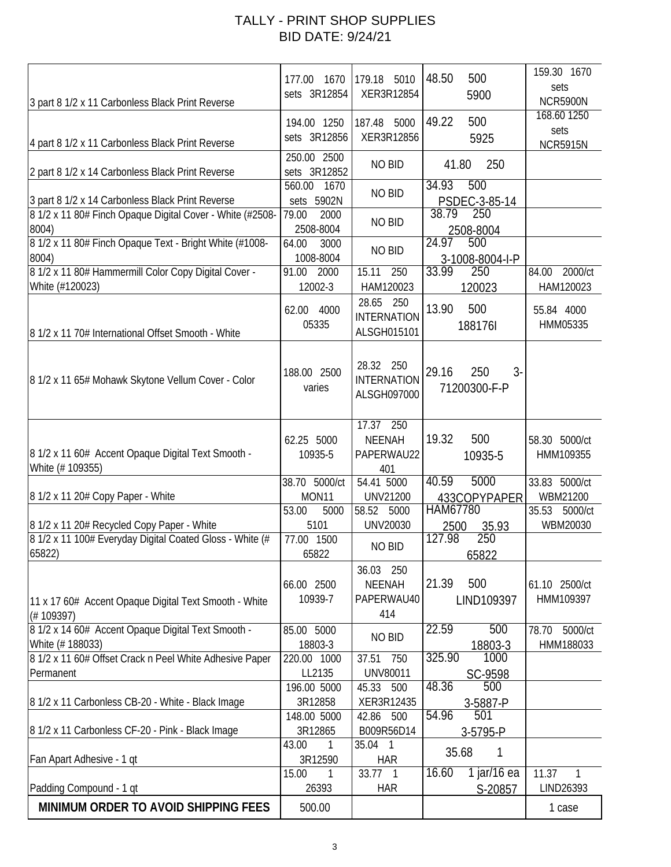| 3 part 8 1/2 x 11 Carbonless Black Print Reverse                                                                         | 177.00<br>1670<br>sets 3R12854              | 179.18 5010<br>XER3R12854                          | 48.50<br>500<br>5900                            | 159.30 1670<br>sets<br><b>NCR5900N</b> |
|--------------------------------------------------------------------------------------------------------------------------|---------------------------------------------|----------------------------------------------------|-------------------------------------------------|----------------------------------------|
| 4 part 8 1/2 x 11 Carbonless Black Print Reverse                                                                         | 194.00 1250<br>sets 3R12856                 | 187.48 5000<br>XER3R12856                          | 500<br>49.22<br>5925                            | 168.60 1250<br>sets<br><b>NCR5915N</b> |
| 2 part 8 1/2 x 14 Carbonless Black Print Reverse                                                                         | 250.00 2500<br>sets 3R12852                 | NO BID                                             | 41.80<br>250                                    |                                        |
| 3 part 8 1/2 x 14 Carbonless Black Print Reverse                                                                         | 560.00<br>1670<br>sets 5902N                | NO BID                                             | 34.93<br>500<br>PSDEC-3-85-14                   |                                        |
| 8 1/2 x 11 80# Finch Opaque Digital Cover - White (#2508-<br>8004)                                                       | 79.00<br>2000<br>2508-8004                  | NO BID                                             | 38.79<br>250<br>2508-8004                       |                                        |
| 8 1/2 x 11 80# Finch Opaque Text - Bright White (#1008-<br>8004)<br>8 1/2 x 11 80# Hammermill Color Copy Digital Cover - | 64.00<br>3000<br>1008-8004<br>91.00<br>2000 | NO BID<br>250<br>15.11                             | 24.97<br>500<br>3-1008-8004-I-P<br>33.99<br>250 | 2000/ct<br>84.00                       |
| White (#120023)                                                                                                          | 12002-3                                     | HAM120023<br>28.65 250                             | 120023                                          | HAM120023                              |
| 8 1/2 x 11 70# International Offset Smooth - White                                                                       | 4000<br>62.00<br>05335                      | <b>INTERNATION</b><br>ALSGH015101                  | 13.90<br>500<br>1881761                         | 55.84 4000<br>HMM05335                 |
| 8 1/2 x 11 65# Mohawk Skytone Vellum Cover - Color                                                                       | 188.00 2500<br>varies                       | 28.32 250<br><b>INTERNATION</b><br>ALSGH097000     | $3-$<br>29.16<br>250<br>71200300-F-P            |                                        |
| 8 1/2 x 11 60# Accent Opaque Digital Text Smooth -<br>White (# 109355)                                                   | 62.25 5000<br>10935-5                       | 17.37 250<br><b>NEENAH</b><br>PAPERWAU22<br>401    | 500<br>19.32<br>10935-5                         | 58.30 5000/ct<br>HMM109355             |
| 8 1/2 x 11 20# Copy Paper - White                                                                                        | 38.70 5000/ct<br>MON11                      | 54.41 5000<br><b>UNV21200</b>                      | 5000<br>40.59<br>433COPYPAPER                   | 33.83 5000/ct<br>WBM21200              |
| 8 1/2 x 11 20# Recycled Copy Paper - White                                                                               | 53.00<br>5000<br>5101                       | 58.52 5000<br>UNV20030                             | HAM67780<br>35.93<br>2500                       | 5000/ct<br>35.53<br>WBM20030           |
| 8 1/2 x 11 100# Everyday Digital Coated Gloss - White (#<br>65822)                                                       | 77.00 1500<br>65822                         | <b>NO BID</b>                                      | 127.98<br>$\overline{250}$<br>65822             |                                        |
| 11 x 17 60# Accent Opaque Digital Text Smooth - White<br>(# 109397)                                                      | 66.00 2500<br>10939-7                       | 36.03<br>250<br><b>NEENAH</b><br>PAPERWAU40<br>414 | 500<br>21.39<br>LIND109397                      | 61.10 2500/ct<br>HMM109397             |
| 8 1/2 x 14 60# Accent Opaque Digital Text Smooth -<br>White (#188033)                                                    | 85.00 5000<br>18803-3                       | NO BID                                             | 22.59<br>500<br>18803-3                         | 78.70<br>5000/ct<br>HMM188033          |
| 8 1/2 x 11 60# Offset Crack n Peel White Adhesive Paper<br>Permanent                                                     | 220.00 1000<br>LL2135<br>196.00 5000        | 37.51<br>750<br>UNV80011<br>45.33 500              | 1000<br>325.90<br>SC-9598<br>48.36<br>500       |                                        |
| 8 1/2 x 11 Carbonless CB-20 - White - Black Image                                                                        | 3R12858<br>148.00 5000                      | XER3R12435<br>42.86 500                            | 3-5887-P<br>54.96<br>501                        |                                        |
| 8 1/2 x 11 Carbonless CF-20 - Pink - Black Image                                                                         | 3R12865<br>43.00<br>1                       | B009R56D14<br>35.04 1                              | 3-5795-P                                        |                                        |
| Fan Apart Adhesive - 1 qt                                                                                                | 3R12590<br>15.00<br>1                       | <b>HAR</b><br>33.77 1                              | 35.68<br>1<br>16.60<br>1 jar/16 ea              | 11.37<br>$\mathbf{1}$                  |
| Padding Compound - 1 qt                                                                                                  | 26393                                       | <b>HAR</b>                                         | S-20857                                         | LIND26393                              |
| MINIMUM ORDER TO AVOID SHIPPING FEES                                                                                     | 500.00                                      |                                                    |                                                 | 1 case                                 |